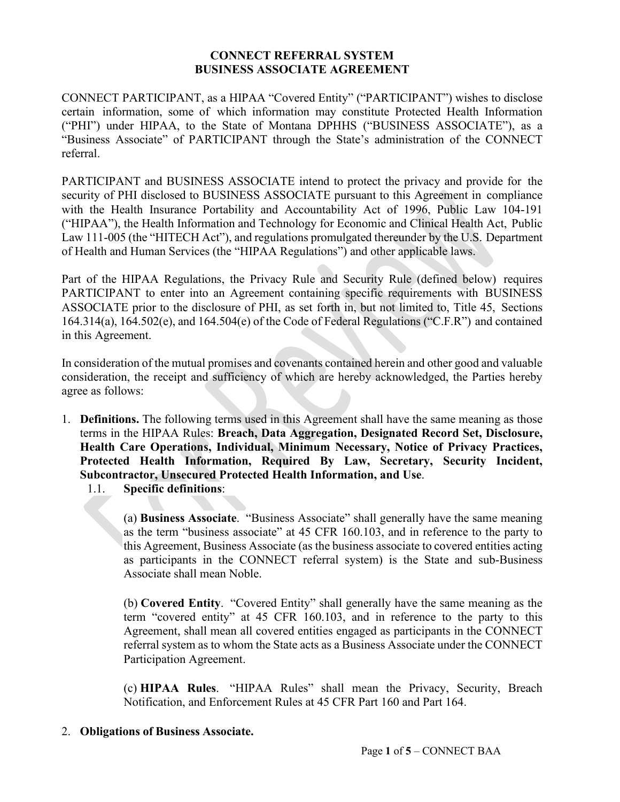## **CONNECT REFERRAL SYSTEM BUSINESS ASSOCIATE AGREEMENT**

CONNECT PARTICIPANT, as a HIPAA "Covered Entity" ("PARTICIPANT") wishes to disclose certain information, some of which information may constitute Protected Health Information ("PHI") under HIPAA, to the State of Montana DPHHS ("BUSINESS ASSOCIATE"), as a "Business Associate" of PARTICIPANT through the State's administration of the CONNECT referral.

PARTICIPANT and BUSINESS ASSOCIATE intend to protect the privacy and provide for the security of PHI disclosed to BUSINESS ASSOCIATE pursuant to this Agreement in compliance with the Health Insurance Portability and Accountability Act of 1996, Public Law 104-191 ("HIPAA"), the Health Information and Technology for Economic and Clinical Health Act, Public Law 111-005 (the "HITECH Act"), and regulations promulgated thereunder by the U.S. Department of Health and Human Services (the "HIPAA Regulations") and other applicable laws.

Part of the HIPAA Regulations, the Privacy Rule and Security Rule (defined below) requires PARTICIPANT to enter into an Agreement containing specific requirements with BUSINESS ASSOCIATE prior to the disclosure of PHI, as set forth in, but not limited to, Title 45, Sections 164.314(a), 164.502(e), and 164.504(e) of the Code of Federal Regulations ("C.F.R") and contained in this Agreement.

In consideration of the mutual promises and covenants contained herein and other good and valuable consideration, the receipt and sufficiency of which are hereby acknowledged, the Parties hereby agree as follows:

- 1. **Definitions.** The following terms used in this Agreement shall have the same meaning as those terms in the HIPAA Rules: **Breach, Data Aggregation, Designated Record Set, Disclosure, Health Care Operations, Individual, Minimum Necessary, Notice of Privacy Practices, Protected Health Information, Required By Law, Secretary, Security Incident, Subcontractor, Unsecured Protected Health Information, and Use**.
	- 1.1. **Specific definitions**:

(a) **Business Associate**. "Business Associate" shall generally have the same meaning as the term "business associate" at 45 CFR 160.103, and in reference to the party to this Agreement, Business Associate (as the business associate to covered entities acting as participants in the CONNECT referral system) is the State and sub-Business Associate shall mean Noble.

(b) **Covered Entity**. "Covered Entity" shall generally have the same meaning as the term "covered entity" at 45 CFR 160.103, and in reference to the party to this Agreement, shall mean all covered entities engaged as participants in the CONNECT referral system as to whom the State acts as a Business Associate under the CONNECT Participation Agreement.

(c) **HIPAA Rules**. "HIPAA Rules" shall mean the Privacy, Security, Breach Notification, and Enforcement Rules at 45 CFR Part 160 and Part 164.

2. **Obligations of Business Associate.**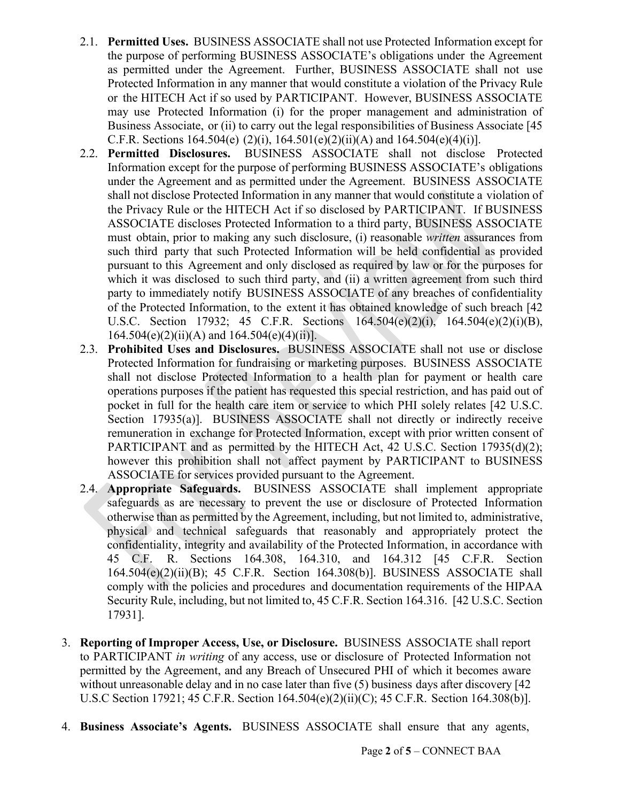- 2.1. **Permitted Uses.** BUSINESS ASSOCIATE shall not use Protected Information except for the purpose of performing BUSINESS ASSOCIATE's obligations under the Agreement as permitted under the Agreement. Further, BUSINESS ASSOCIATE shall not use Protected Information in any manner that would constitute a violation of the Privacy Rule or the HITECH Act if so used by PARTICIPANT. However, BUSINESS ASSOCIATE may use Protected Information (i) for the proper management and administration of Business Associate, or (ii) to carry out the legal responsibilities of Business Associate [45 C.F.R. Sections 164.504(e) (2)(i), 164.501(e)(2)(ii)(A) and 164.504(e)(4)(i)].
- 2.2. **Permitted Disclosures.** BUSINESS ASSOCIATE shall not disclose Protected Information except for the purpose of performing BUSINESS ASSOCIATE's obligations under the Agreement and as permitted under the Agreement. BUSINESS ASSOCIATE shall not disclose Protected Information in any manner that would constitute a violation of the Privacy Rule or the HITECH Act if so disclosed by PARTICIPANT. If BUSINESS ASSOCIATE discloses Protected Information to a third party, BUSINESS ASSOCIATE must obtain, prior to making any such disclosure, (i) reasonable *written* assurances from such third party that such Protected Information will be held confidential as provided pursuant to this Agreement and only disclosed as required by law or for the purposes for which it was disclosed to such third party, and (ii) a written agreement from such third party to immediately notify BUSINESS ASSOCIATE of any breaches of confidentiality of the Protected Information, to the extent it has obtained knowledge of such breach [42 U.S.C. Section 17932; 45 C.F.R. Sections 164.504(e)(2)(i), 164.504(e)(2)(i)(B),  $164.504(e)(2)(ii)(A)$  and  $164.504(e)(4)(ii)$ .
- 2.3. **Prohibited Uses and Disclosures.** BUSINESS ASSOCIATE shall not use or disclose Protected Information for fundraising or marketing purposes. BUSINESS ASSOCIATE shall not disclose Protected Information to a health plan for payment or health care operations purposes if the patient has requested this special restriction, and has paid out of pocket in full for the health care item or service to which PHI solely relates [42 U.S.C. Section 17935(a)]. BUSINESS ASSOCIATE shall not directly or indirectly receive remuneration in exchange for Protected Information, except with prior written consent of PARTICIPANT and as permitted by the HITECH Act, 42 U.S.C. Section 17935(d)(2); however this prohibition shall not affect payment by PARTICIPANT to BUSINESS ASSOCIATE for services provided pursuant to the Agreement.
- 2.4. **Appropriate Safeguards.** BUSINESS ASSOCIATE shall implement appropriate safeguards as are necessary to prevent the use or disclosure of Protected Information otherwise than as permitted by the Agreement, including, but not limited to, administrative, physical and technical safeguards that reasonably and appropriately protect the confidentiality, integrity and availability of the Protected Information, in accordance with 45 C.F. R. Sections 164.308, 164.310, and 164.312 [45 C.F.R. Section 164.504(e)(2)(ii)(B); 45 C.F.R. Section 164.308(b)]. BUSINESS ASSOCIATE shall comply with the policies and procedures and documentation requirements of the HIPAA Security Rule, including, but not limited to, 45 C.F.R. Section 164.316. [42 U.S.C. Section 17931].
- 3. **Reporting of Improper Access, Use, or Disclosure.** BUSINESS ASSOCIATE shall report to PARTICIPANT *in writing* of any access, use or disclosure of Protected Information not permitted by the Agreement, and any Breach of Unsecured PHI of which it becomes aware without unreasonable delay and in no case later than five (5) business days after discovery [42] U.S.C Section 17921; 45 C.F.R. Section 164.504(e)(2)(ii)(C); 45 C.F.R. Section 164.308(b)].
- 4. **Business Associate's Agents.** BUSINESS ASSOCIATE shall ensure that any agents,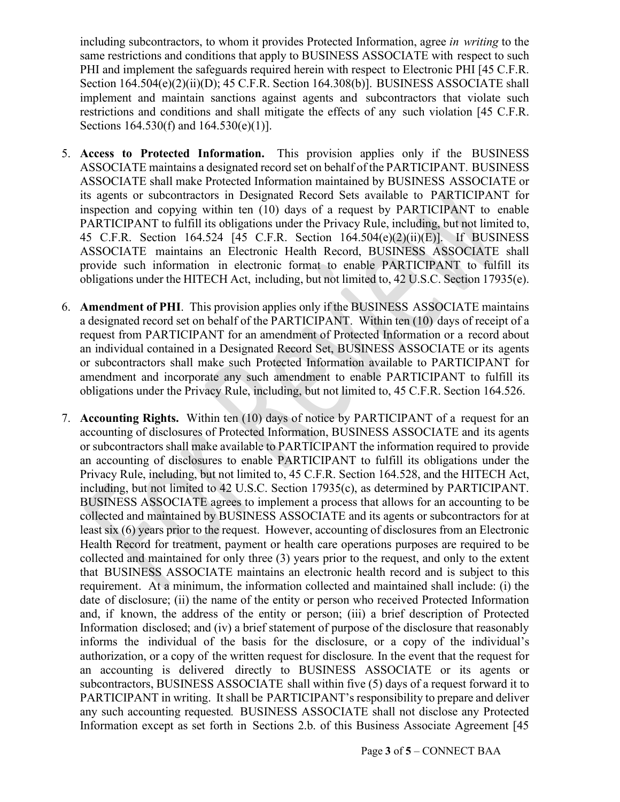including subcontractors, to whom it provides Protected Information, agree *in writing* to the same restrictions and conditions that apply to BUSINESS ASSOCIATE with respect to such PHI and implement the safeguards required herein with respect to Electronic PHI [45 C.F.R. Section 164.504(e)(2)(ii)(D); 45 C.F.R. Section 164.308(b)]. BUSINESS ASSOCIATE shall implement and maintain sanctions against agents and subcontractors that violate such restrictions and conditions and shall mitigate the effects of any such violation [45 C.F.R. Sections 164.530(f) and 164.530(e)(1)].

- 5. **Access to Protected Information.** This provision applies only if the BUSINESS ASSOCIATE maintains a designated record set on behalf of the PARTICIPANT. BUSINESS ASSOCIATE shall make Protected Information maintained by BUSINESS ASSOCIATE or its agents or subcontractors in Designated Record Sets available to PARTICIPANT for inspection and copying within ten (10) days of a request by PARTICIPANT to enable PARTICIPANT to fulfill its obligations under the Privacy Rule, including, but not limited to, 45 C.F.R. Section 164.524 [45 C.F.R. Section 164.504(e)(2)(ii)(E)]. If BUSINESS ASSOCIATE maintains an Electronic Health Record, BUSINESS ASSOCIATE shall provide such information in electronic format to enable PARTICIPANT to fulfill its obligations under the HITECH Act, including, but not limited to, 42 U.S.C. Section 17935(e).
- 6. **Amendment of PHI**. This provision applies only if the BUSINESS ASSOCIATE maintains a designated record set on behalf of the PARTICIPANT. Within ten (10) days of receipt of a request from PARTICIPANT for an amendment of Protected Information or a record about an individual contained in a Designated Record Set, BUSINESS ASSOCIATE or its agents or subcontractors shall make such Protected Information available to PARTICIPANT for amendment and incorporate any such amendment to enable PARTICIPANT to fulfill its obligations under the Privacy Rule, including, but not limited to, 45 C.F.R. Section 164.526.
- 7. **Accounting Rights.** Within ten (10) days of notice by PARTICIPANT of a request for an accounting of disclosures of Protected Information, BUSINESS ASSOCIATE and its agents or subcontractors shall make available to PARTICIPANT the information required to provide an accounting of disclosures to enable PARTICIPANT to fulfill its obligations under the Privacy Rule, including, but not limited to, 45 C.F.R. Section 164.528, and the HITECH Act, including, but not limited to 42 U.S.C. Section 17935(c), as determined by PARTICIPANT. BUSINESS ASSOCIATE agrees to implement a process that allows for an accounting to be collected and maintained by BUSINESS ASSOCIATE and its agents or subcontractors for at least six (6) years prior to the request. However, accounting of disclosures from an Electronic Health Record for treatment, payment or health care operations purposes are required to be collected and maintained for only three (3) years prior to the request, and only to the extent that BUSINESS ASSOCIATE maintains an electronic health record and is subject to this requirement. At a minimum, the information collected and maintained shall include: (i) the date of disclosure; (ii) the name of the entity or person who received Protected Information and, if known, the address of the entity or person; (iii) a brief description of Protected Information disclosed; and (iv) a brief statement of purpose of the disclosure that reasonably informs the individual of the basis for the disclosure, or a copy of the individual's authorization, or a copy of the written request for disclosure*.* In the event that the request for an accounting is delivered directly to BUSINESS ASSOCIATE or its agents or subcontractors, BUSINESS ASSOCIATE shall within five (5) days of a request forward it to PARTICIPANT in writing. It shall be PARTICIPANT's responsibility to prepare and deliver any such accounting requested*.* BUSINESS ASSOCIATE shall not disclose any Protected Information except as set forth in Sections 2.b. of this Business Associate Agreement [45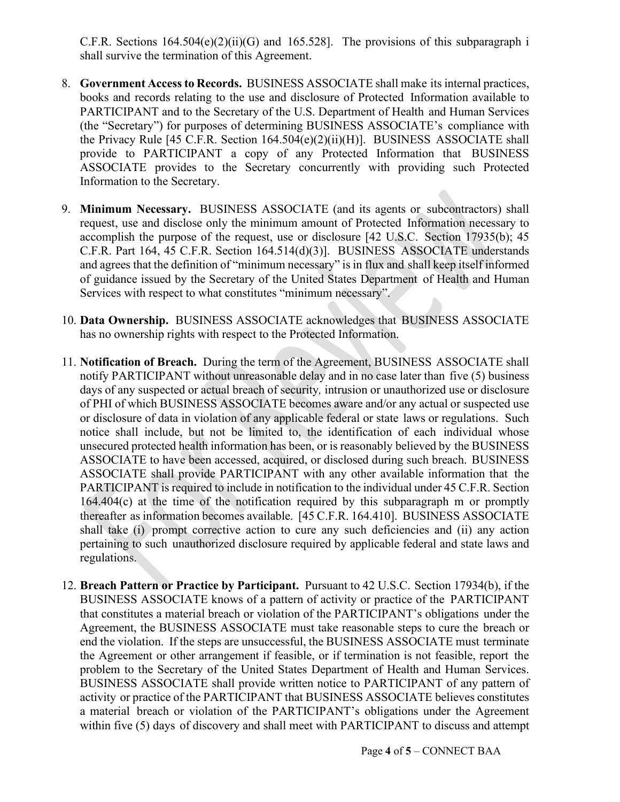C.F.R. Sections  $164.504(e)(2)(ii)(G)$  and  $165.528$ ]. The provisions of this subparagraph i shall survive the termination of this Agreement.

- 8. **Government Accessto Records.** BUSINESS ASSOCIATE shall make its internal practices, books and records relating to the use and disclosure of Protected Information available to PARTICIPANT and to the Secretary of the U.S. Department of Health and Human Services (the "Secretary") for purposes of determining BUSINESS ASSOCIATE's compliance with the Privacy Rule [45 C.F.R. Section 164.504(e)(2)(ii)(H)]. BUSINESS ASSOCIATE shall provide to PARTICIPANT a copy of any Protected Information that BUSINESS ASSOCIATE provides to the Secretary concurrently with providing such Protected Information to the Secretary.
- 9. **Minimum Necessary.** BUSINESS ASSOCIATE (and its agents or subcontractors) shall request, use and disclose only the minimum amount of Protected Information necessary to accomplish the purpose of the request, use or disclosure [42 U.S.C. Section 17935(b); 45 C.F.R. Part 164, 45 C.F.R. Section 164.514(d)(3)]. BUSINESS ASSOCIATE understands and agrees that the definition of "minimum necessary" is in flux and shall keep itself informed of guidance issued by the Secretary of the United States Department of Health and Human Services with respect to what constitutes "minimum necessary".
- 10. **Data Ownership.** BUSINESS ASSOCIATE acknowledges that BUSINESS ASSOCIATE has no ownership rights with respect to the Protected Information.
- 11. **Notification of Breach.** During the term of the Agreement, BUSINESS ASSOCIATE shall notify PARTICIPANT without unreasonable delay and in no case later than five (5) business days of any suspected or actual breach of security*,* intrusion or unauthorized use or disclosure of PHI of which BUSINESS ASSOCIATE becomes aware and/or any actual or suspected use or disclosure of data in violation of any applicable federal or state laws or regulations. Such notice shall include, but not be limited to, the identification of each individual whose unsecured protected health information has been, or is reasonably believed by the BUSINESS ASSOCIATE to have been accessed, acquired, or disclosed during such breach. BUSINESS ASSOCIATE shall provide PARTICIPANT with any other available information that the PARTICIPANT is required to include in notification to the individual under 45 C.F.R. Section 164.404(c) at the time of the notification required by this subparagraph m or promptly thereafter as information becomes available. [45 C.F.R. 164.410]. BUSINESS ASSOCIATE shall take (i) prompt corrective action to cure any such deficiencies and (ii) any action pertaining to such unauthorized disclosure required by applicable federal and state laws and regulations.
- 12. **Breach Pattern or Practice by Participant.** Pursuant to 42 U.S.C. Section 17934(b), if the BUSINESS ASSOCIATE knows of a pattern of activity or practice of the PARTICIPANT that constitutes a material breach or violation of the PARTICIPANT's obligations under the Agreement, the BUSINESS ASSOCIATE must take reasonable steps to cure the breach or end the violation. If the steps are unsuccessful, the BUSINESS ASSOCIATE must terminate the Agreement or other arrangement if feasible, or if termination is not feasible, report the problem to the Secretary of the United States Department of Health and Human Services. BUSINESS ASSOCIATE shall provide written notice to PARTICIPANT of any pattern of activity or practice of the PARTICIPANT that BUSINESS ASSOCIATE believes constitutes a material breach or violation of the PARTICIPANT's obligations under the Agreement within five (5) days of discovery and shall meet with PARTICIPANT to discuss and attempt